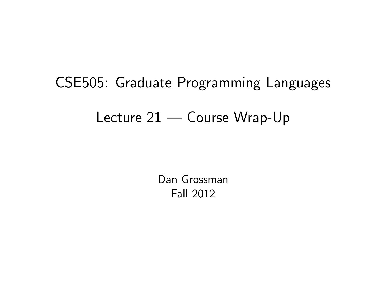# CSE505: Graduate Programming Languages

## Lecture 21 — Course Wrap-Up

<span id="page-0-0"></span>Dan Grossman Fall 2012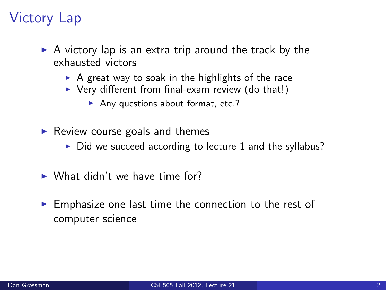## Victory Lap

- $\triangleright$  A victory lap is an extra trip around the track by the exhausted victors
	- $\triangleright$  A great way to soak in the highlights of the race
	- $\triangleright$  Very different from final-exam review (do that!)
		- Any questions about format, etc.?
- $\blacktriangleright$  Review course goals and themes
	- $\triangleright$  Did we succeed according to lecture 1 and the syllabus?
- $\triangleright$  What didn't we have time for?
- $\blacktriangleright$  Emphasize one last time the connection to the rest of computer science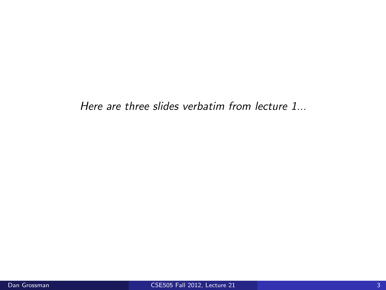Here are three slides verbatim from lecture 1...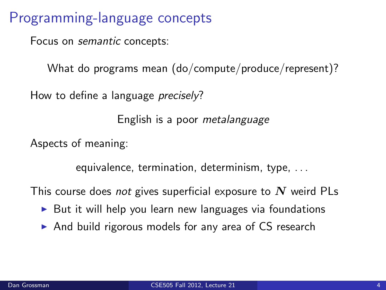Programming-language concepts

Focus on semantic concepts:

What do programs mean (do/compute/produce/represent)?

How to define a language *precisely*?

English is a poor metalanguage

Aspects of meaning:

equivalence, termination, determinism, type, . . .

This course does not gives superficial exposure to  $N$  weird PLs

- $\triangleright$  But it will help you learn new languages via foundations
- $\triangleright$  And build rigorous models for any area of CS research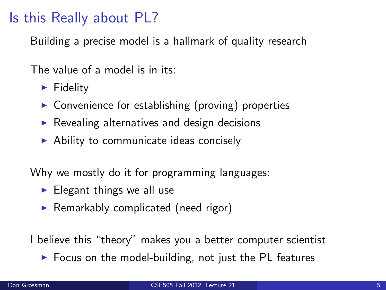### Is this Really about PL?

Building a precise model is a hallmark of quality research

The value of a model is in its:

- $\blacktriangleright$  Fidelity
- $\triangleright$  Convenience for establishing (proving) properties
- $\triangleright$  Revealing alternatives and design decisions
- $\triangleright$  Ability to communicate ideas concisely

Why we mostly do it for programming languages:

- $\blacktriangleright$  Elegant things we all use
- $\blacktriangleright$  Remarkably complicated (need rigor)

I believe this "theory" makes you a better computer scientist

 $\triangleright$  Focus on the model-building, not just the PL features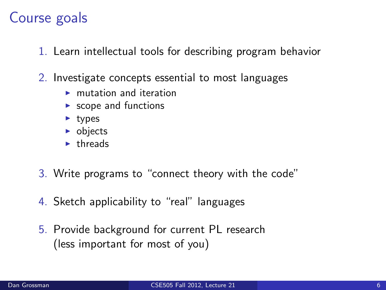#### Course goals

- 1. Learn intellectual tools for describing program behavior
- 2. Investigate concepts essential to most languages
	- $\blacktriangleright$  mutation and iteration
	- $\blacktriangleright$  scope and functions
	- $\blacktriangleright$  types
	- $\triangleright$  objects
	- $\blacktriangleright$  threads
- 3. Write programs to "connect theory with the code"
- 4. Sketch applicability to "real" languages
- 5. Provide background for current PL research (less important for most of you)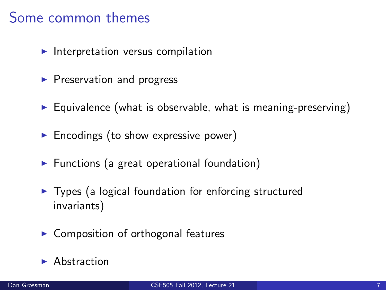#### Some common themes

- $\blacktriangleright$  Interpretation versus compilation
- $\blacktriangleright$  Preservation and progress
- $\triangleright$  Equivalence (what is observable, what is meaning-preserving)
- $\blacktriangleright$  Encodings (to show expressive power)
- $\blacktriangleright$  Functions (a great operational foundation)
- $\triangleright$  Types (a logical foundation for enforcing structured invariants)
- $\triangleright$  Composition of orthogonal features
- $\blacktriangleright$  Abstraction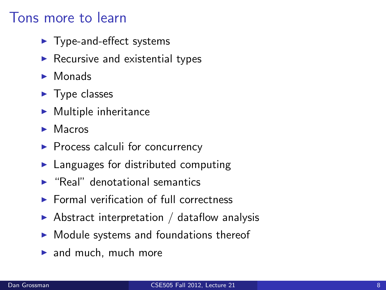#### Tons more to learn

- $\blacktriangleright$  Type-and-effect systems
- $\blacktriangleright$  Recursive and existential types
- $\blacktriangleright$  Monads
- $\blacktriangleright$  Type classes
- $\blacktriangleright$  Multiple inheritance
- $\blacktriangleright$  Macros
- $\blacktriangleright$  Process calculi for concurrency
- $\blacktriangleright$  Languages for distributed computing
- $\blacktriangleright$  "Real" denotational semantics
- $\blacktriangleright$  Formal verification of full correctness
- $\triangleright$  Abstract interpretation / dataflow analysis
- $\triangleright$  Module systems and foundations thereof
- $\blacktriangleright$  and much, much more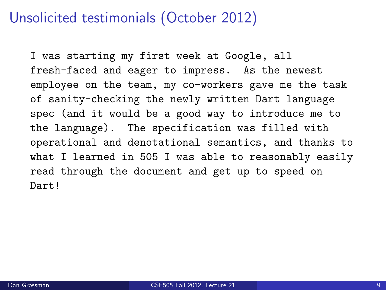#### Unsolicited testimonials (October 2012)

I was starting my first week at Google, all fresh-faced and eager to impress. As the newest employee on the team, my co-workers gave me the task of sanity-checking the newly written Dart language spec (and it would be a good way to introduce me to the language). The specification was filled with operational and denotational semantics, and thanks to what I learned in 505 I was able to reasonably easily read through the document and get up to speed on Dart!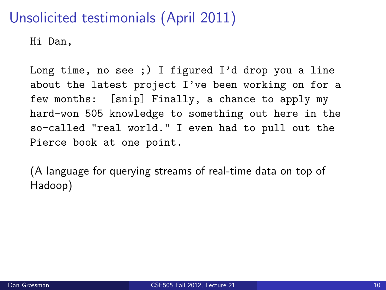## Unsolicited testimonials (April 2011)

Hi Dan,

Long time, no see ;) I figured I'd drop you a line about the latest project I've been working on for a few months: [snip] Finally, a chance to apply my hard-won 505 knowledge to something out here in the so-called "real world." I even had to pull out the Pierce book at one point.

(A language for querying streams of real-time data on top of Hadoop)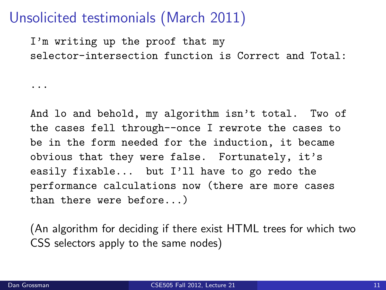#### Unsolicited testimonials (March 2011)

I'm writing up the proof that my selector-intersection function is Correct and Total:

And lo and behold, my algorithm isn't total. Two of the cases fell through--once I rewrote the cases to be in the form needed for the induction, it became obvious that they were false. Fortunately, it's easily fixable... but I'll have to go redo the performance calculations now (there are more cases than there were before...)

(An algorithm for deciding if there exist HTML trees for which two CSS selectors apply to the same nodes)

...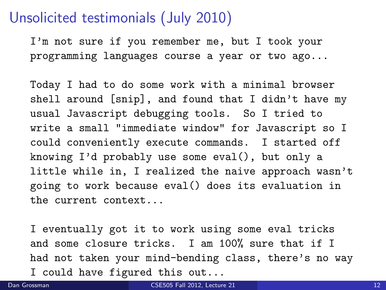#### Unsolicited testimonials (July 2010)

I'm not sure if you remember me, but I took your programming languages course a year or two ago...

Today I had to do some work with a minimal browser shell around [snip], and found that I didn't have my usual Javascript debugging tools. So I tried to write a small "immediate window" for Javascript so I could conveniently execute commands. I started off knowing I'd probably use some eval(), but only a little while in, I realized the naive approach wasn't going to work because eval() does its evaluation in the current context...

I eventually got it to work using some eval tricks and some closure tricks. I am 100% sure that if I had not taken your mind-bending class, there's no way I could have figured this out...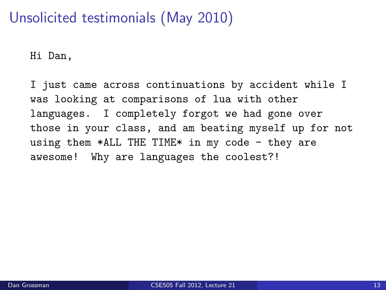## Unsolicited testimonials (May 2010)

Hi Dan,

I just came across continuations by accident while I was looking at comparisons of lua with other languages. I completely forgot we had gone over those in your class, and am beating myself up for not using them  $*$ ALL THE TIME $*$  in my code - they are awesome! Why are languages the coolest?!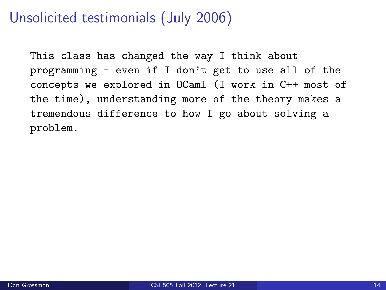## Unsolicited testimonials (July 2006)

This class has changed the way I think about programming - even if I don't get to use all of the concepts we explored in OCaml (I work in C++ most of the time), understanding more of the theory makes a tremendous difference to how I go about solving a problem.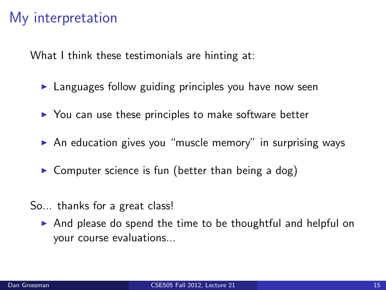#### My interpretation

What I think these testimonials are hinting at:

- $\blacktriangleright$  Languages follow guiding principles you have now seen
- $\triangleright$  You can use these principles to make software better
- $\triangleright$  An education gives you "muscle memory" in surprising ways
- $\triangleright$  Computer science is fun (better than being a dog)
- So... thanks for a great class!
	- $\triangleright$  And please do spend the time to be thoughtful and helpful on your course evaluations...